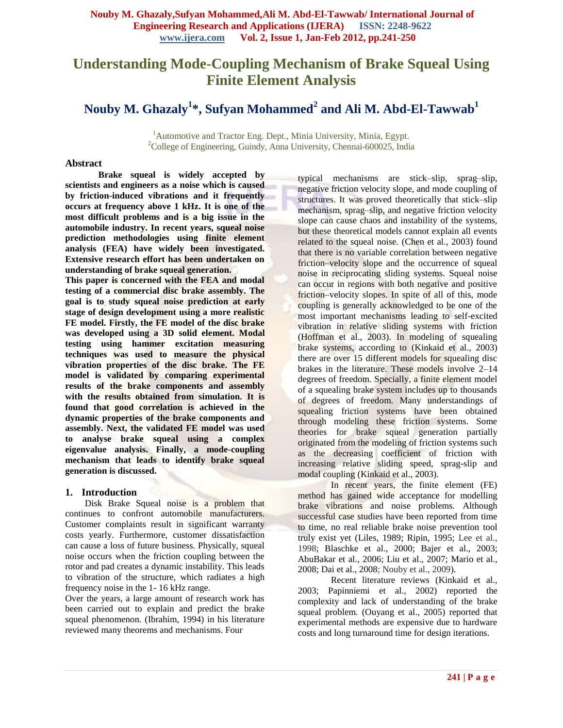# **Understanding Mode-Coupling Mechanism of Brake Squeal Using Finite Element Analysis**

# **Nouby M. Ghazaly<sup>1</sup> \* , Sufyan Mohammed<sup>2</sup> and Ali M. Abd-El-Tawwab<sup>1</sup>**

<sup>1</sup>Automotive and Tractor Eng. Dept., Minia University, Minia, Egypt. <sup>2</sup>College of Engineering, Guindy, Anna University, Chennai-600025, India

## **Abstract**

**Brake squeal is widely accepted by scientists and engineers as a noise which is caused by friction-induced vibrations and it frequently occurs at frequency above 1 kHz. It is one of the most difficult problems and is a big issue in the automobile industry. In recent years, squeal noise prediction methodologies using finite element analysis (FEA) have widely been investigated. Extensive research effort has been undertaken on understanding of brake squeal generation.** 

**This paper is concerned with the FEA and modal testing of a commercial disc brake assembly. The goal is to study squeal noise prediction at early stage of design development using a more realistic FE model. Firstly, the FE model of the disc brake was developed using a 3D solid element. Modal testing using hammer excitation measuring techniques was used to measure the physical vibration properties of the disc brake. The FE model is validated by comparing experimental results of the brake components and assembly with the results obtained from simulation. It is found that good correlation is achieved in the dynamic properties of the brake components and assembly. Next, the validated FE model was used to analyse brake squeal using a complex eigenvalue analysis. Finally, a mode-coupling mechanism that leads to identify brake squeal generation is discussed.**

## **1. Introduction**

Disk Brake Squeal noise is a problem that continues to confront automobile manufacturers. Customer complaints result in significant warranty costs yearly. Furthermore, customer dissatisfaction can cause a loss of future business. Physically, squeal noise occurs when the friction coupling between the rotor and pad creates a dynamic instability. This leads to vibration of the structure, which radiates a high frequency noise in the 1- 16 kHz range.

Over the years, a large amount of research work has been carried out to explain and predict the brake squeal phenomenon. (Ibrahim, 1994) in his literature reviewed many theorems and mechanisms. Four

typical mechanisms are stick–slip, sprag–slip, negative friction velocity slope, and mode coupling of structures. It was proved theoretically that stick–slip mechanism, sprag–slip, and negative friction velocity slope can cause chaos and instability of the systems, but these theoretical models cannot explain all events related to the squeal noise. (Chen et al., 2003) found that there is no variable correlation between negative friction–velocity slope and the occurrence of squeal noise in reciprocating sliding systems. Squeal noise can occur in regions with both negative and positive friction–velocity slopes. In spite of all of this, mode coupling is generally acknowledged to be one of the most important mechanisms leading to self-excited vibration in relative sliding systems with friction (Hoffman et al., 2003). In modeling of squealing brake systems, according to (Kinkaid et al., 2003) there are over 15 different models for squealing disc brakes in the literature. These models involve 2–14 degrees of freedom. Specially, a finite element model of a squealing brake system includes up to thousands of degrees of freedom. Many understandings of squealing friction systems have been obtained through modeling these friction systems. Some theories for brake squeal generation partially originated from the modeling of friction systems such as the decreasing coefficient of friction with increasing relative sliding speed, sprag-slip and modal coupling (Kinkaid et al., 2003).

In recent years, the finite element (FE) method has gained wide acceptance for modelling brake vibrations and noise problems. Although successful case studies have been reported from time to time, no real reliable brake noise prevention tool truly exist yet (Liles, 1989; Ripin, 1995; Lee et al., 1998; Blaschke et al., 2000; Bajer et al., 2003; AbuBakar et al., 2006; Liu et al., 2007; Mario et al., 2008; Dai et al., 2008; Nouby et al., 2009).

Recent literature reviews (Kinkaid et al., 2003; Papinniemi et al., 2002) reported the complexity and lack of understanding of the brake squeal problem. (Ouyang et al., 2005) reported that experimental methods are expensive due to hardware costs and long turnaround time for design iterations.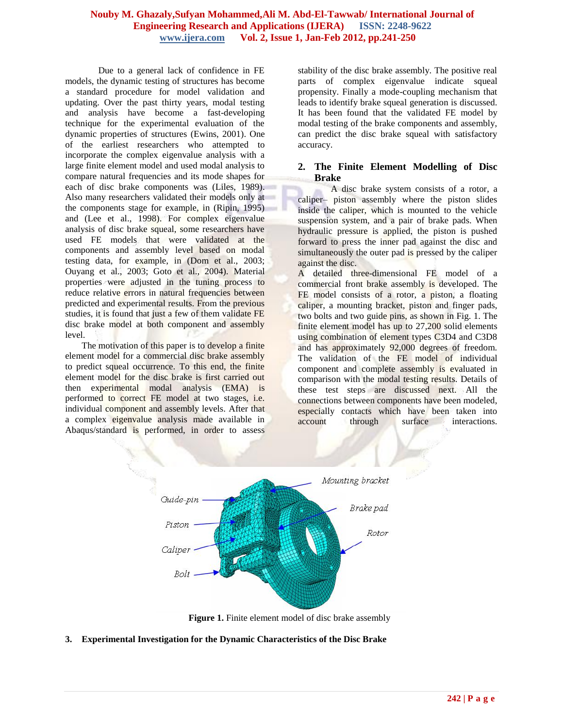Due to a general lack of confidence in FE models, the dynamic testing of structures has become a standard procedure for model validation and updating. Over the past thirty years, modal testing and analysis have become a fast-developing technique for the experimental evaluation of the dynamic properties of structures (Ewins, 2001). One of the earliest researchers who attempted to incorporate the complex eigenvalue analysis with a large finite element model and used modal analysis to compare natural frequencies and its mode shapes for each of disc brake components was (Liles, 1989). Also many researchers validated their models only at the components stage for example, in (Ripin, 1995) and (Lee et al., 1998). For complex eigenvalue analysis of disc brake squeal, some researchers have used FE models that were validated at the components and assembly level based on modal testing data, for example, in (Dom et al., 2003; Ouyang et al., 2003; Goto et al., 2004). Material properties were adjusted in the tuning process to reduce relative errors in natural frequencies between predicted and experimental results. From the previous studies, it is found that just a few of them validate FE disc brake model at both component and assembly level.

The motivation of this paper is to develop a finite element model for a commercial disc brake assembly to predict squeal occurrence. To this end, the finite element model for the disc brake is first carried out then experimental modal analysis (EMA) is performed to correct FE model at two stages, i.e. individual component and assembly levels. After that a complex eigenvalue analysis made available in Abaqus/standard is performed, in order to assess

stability of the disc brake assembly. The positive real parts of complex eigenvalue indicate squeal propensity. Finally a mode-coupling mechanism that leads to identify brake squeal generation is discussed. It has been found that the validated FE model by modal testing of the brake components and assembly, can predict the disc brake squeal with satisfactory accuracy.

## **2. The Finite Element Modelling of Disc Brake**

A disc brake system consists of a rotor, a caliper– piston assembly where the piston slides inside the caliper, which is mounted to the vehicle suspension system, and a pair of brake pads. When hydraulic pressure is applied, the piston is pushed forward to press the inner pad against the disc and simultaneously the outer pad is pressed by the caliper against the disc.

A detailed three-dimensional FE model of a commercial front brake assembly is developed. The FE model consists of a rotor, a piston, a floating caliper, a mounting bracket, piston and finger pads, two bolts and two guide pins, as shown in Fig. 1. The finite element model has up to 27,200 solid elements using combination of element types C3D4 and C3D8 and has approximately 92,000 degrees of freedom. The validation of the FE model of individual component and complete assembly is evaluated in comparison with the modal testing results. Details of these test steps are discussed next. All the connections between components have been modeled, especially contacts which have been taken into account through surface interactions.



**Figure 1.** Finite element model of disc brake assembly

**3. Experimental Investigation for the Dynamic Characteristics of the Disc Brake**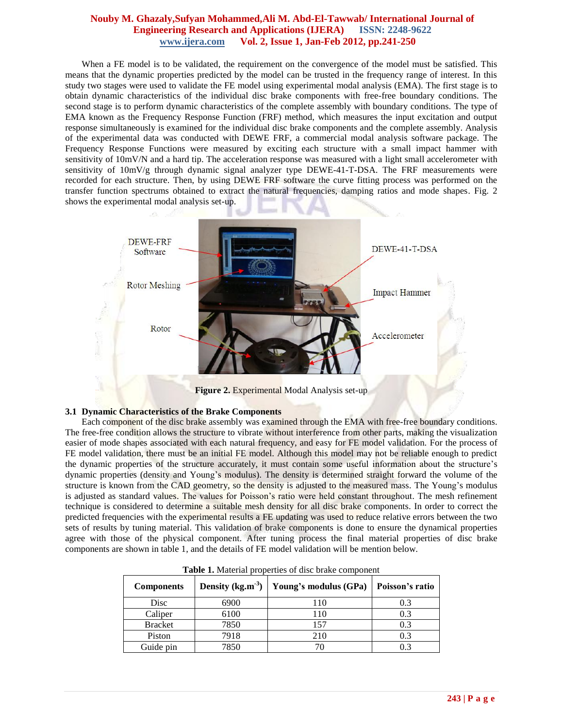When a FE model is to be validated, the requirement on the convergence of the model must be satisfied. This means that the dynamic properties predicted by the model can be trusted in the frequency range of interest. In this study two stages were used to validate the FE model using experimental modal analysis (EMA). The first stage is to obtain dynamic characteristics of the individual disc brake components with free-free boundary conditions. The second stage is to perform dynamic characteristics of the complete assembly with boundary conditions. The type of EMA known as the Frequency Response Function (FRF) method, which measures the input excitation and output response simultaneously is examined for the individual disc brake components and the complete assembly. Analysis of the experimental data was conducted with DEWE FRF, a commercial modal analysis software package. The Frequency Response Functions were measured by exciting each structure with a small impact hammer with sensitivity of 10mV/N and a hard tip. The acceleration response was measured with a light small accelerometer with sensitivity of  $10mV/g$  through dynamic signal analyzer type DEWE-41-T-DSA. The FRF measurements were recorded for each structure. Then, by using DEWE FRF software the curve fitting process was performed on the transfer function spectrums obtained to extract the natural frequencies, damping ratios and mode shapes. Fig. 2 shows the experimental modal analysis set-up.



**Figure 2.** Experimental Modal Analysis set-up

## **3.1 Dynamic Characteristics of the Brake Components**

Each component of the disc brake assembly was examined through the EMA with free-free boundary conditions. The free-free condition allows the structure to vibrate without interference from other parts, making the visualization easier of mode shapes associated with each natural frequency, and easy for FE model validation. For the process of FE model validation, there must be an initial FE model. Although this model may not be reliable enough to predict the dynamic properties of the structure accurately, it must contain some useful information about the structure's dynamic properties (density and Young's modulus). The density is determined straight forward the volume of the structure is known from the CAD geometry, so the density is adjusted to the measured mass. The Young's modulus is adjusted as standard values. The values for Poisson's ratio were held constant throughout. The mesh refinement technique is considered to determine a suitable mesh density for all disc brake components. In order to correct the predicted frequencies with the experimental results a FE updating was used to reduce relative errors between the two sets of results by tuning material. This validation of brake components is done to ensure the dynamical properties agree with those of the physical component. After tuning process the final material properties of disc brake components are shown in table 1, and the details of FE model validation will be mention below.

| <b>Components</b> | Density $(kg.m-3)$ | Young's modulus (GPa) | Poisson's ratio |  |
|-------------------|--------------------|-----------------------|-----------------|--|
| Disc              | 6900               | 110                   | 0.3             |  |
| Caliper           | 6100               | 110                   | 0.3             |  |
| <b>Bracket</b>    | 7850               | 157                   | 0.3             |  |
| Piston            | 7918               | 210                   | 0.3             |  |
| Guide pin         | 7850               |                       | 0.3             |  |

**Table 1.** Material properties of disc brake component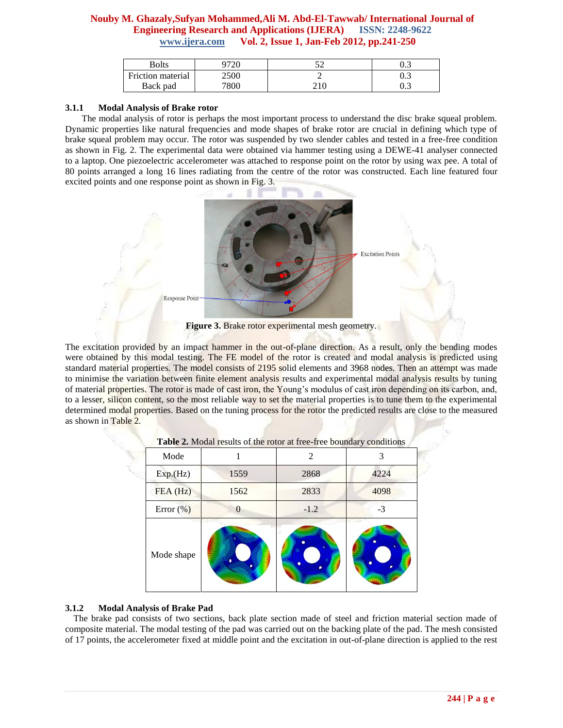| Bolts             |      | ັ | ∪.J |
|-------------------|------|---|-----|
| Friction material | 2500 |   | v.J |
| Back pad          | 7800 |   | ∪.J |

## **3.1.1 Modal Analysis of Brake rotor**

The modal analysis of rotor is perhaps the most important process to understand the disc brake squeal problem. Dynamic properties like natural frequencies and mode shapes of brake rotor are crucial in defining which type of brake squeal problem may occur. The rotor was suspended by two slender cables and tested in a free-free condition as shown in Fig. 2. The experimental data were obtained via hammer testing using a DEWE-41 analyser connected to a laptop. One piezoelectric accelerometer was attached to response point on the rotor by using wax pee. A total of 80 points arranged a long 16 lines radiating from the centre of the rotor was constructed. Each line featured four excited points and one response point as shown in Fig. 3.



The excitation provided by an impact hammer in the out-of-plane direction. As a result, only the bending modes were obtained by this modal testing. The FE model of the rotor is created and modal analysis is predicted using standard material properties. The model consists of 2195 solid elements and 3968 nodes. Then an attempt was made to minimise the variation between finite element analysis results and experimental modal analysis results by tuning of material properties. The rotor is made of cast iron, the Young's modulus of cast iron depending on its carbon, and, to a lesser, silicon content, so the most reliable way to set the material properties is to tune them to the experimental determined modal properties. Based on the tuning process for the rotor the predicted results are close to the measured as shown in Table 2.

|               | - - - |        |      |
|---------------|-------|--------|------|
| Mode          |       | 2      | 3    |
| Exp.(Hz)      | 1559  | 2868   | 4224 |
| FEA (Hz)      | 1562  | 2833   | 4098 |
| Error $(\% )$ | 0     | $-1.2$ | -3   |
| Mode shape    |       |        | ٠    |

## **3.1.2 Modal Analysis of Brake Pad**

The brake pad consists of two sections, back plate section made of steel and friction material section made of composite material. The modal testing of the pad was carried out on the backing plate of the pad. The mesh consisted of 17 points, the accelerometer fixed at middle point and the excitation in out-of-plane direction is applied to the rest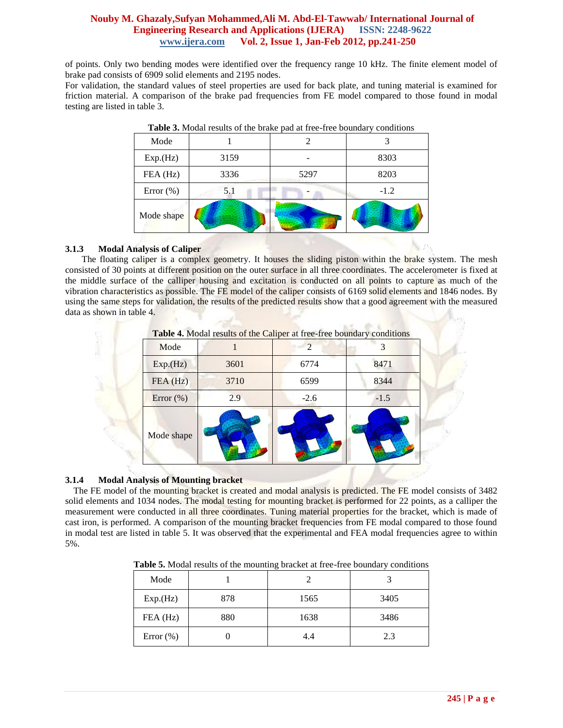of points. Only two bending modes were identified over the frequency range 10 kHz. The finite element model of brake pad consists of 6909 solid elements and 2195 nodes.

For validation, the standard values of steel properties are used for back plate, and tuning material is examined for friction material. A comparison of the brake pad frequencies from FE model compared to those found in modal testing are listed in table 3.

| Mode         |      |      |        |
|--------------|------|------|--------|
| Exp.(Hz)     | 3159 |      | 8303   |
| FEA (Hz)     | 3336 | 5297 | 8203   |
| Error $(\%)$ | 5.1  |      | $-1.2$ |
| Mode shape   |      |      |        |

**Table 3.** Modal results of the brake pad at free-free boundary conditions

# **3.1.3 Modal Analysis of Caliper**

The floating caliper is a complex geometry. It houses the sliding piston within the brake system. The mesh consisted of 30 points at different position on the outer surface in all three coordinates. The accelerometer is fixed at the middle surface of the calliper housing and excitation is conducted on all points to capture as much of the vibration characteristics as possible. The FE model of the caliper consists of 6169 solid elements and 1846 nodes. By using the same steps for validation, the results of the predicted results show that a good agreement with the measured data as shown in table 4.

|              | <b>Table 4.</b> Modal results of the Caliper at free-free boundary conditions |               |        |
|--------------|-------------------------------------------------------------------------------|---------------|--------|
| Mode         |                                                                               | $\mathcal{D}$ |        |
| Exp.(Hz)     | 3601                                                                          | 6774          | 8471   |
| FEA(Hz)      | 3710                                                                          | 6599          | 8344   |
| Error $(\%)$ | 2.9                                                                           | $-2.6$        | $-1.5$ |
| Mode shape   |                                                                               |               |        |

# **3.1.4 Modal Analysis of Mounting bracket**

The FE model of the mounting bracket is created and modal analysis is predicted. The FE model consists of 3482 solid elements and 1034 nodes. The modal testing for mounting bracket is performed for 22 points, as a calliper the measurement were conducted in all three coordinates. Tuning material properties for the bracket, which is made of cast iron, is performed. A comparison of the mounting bracket frequencies from FE modal compared to those found in modal test are listed in table 5. It was observed that the experimental and FEA modal frequencies agree to within 5%.

**Table 5.** Modal results of the mounting bracket at free-free boundary conditions

| Mode         |     |      |      |  |
|--------------|-----|------|------|--|
| Exp.(Hz)     | 878 | 1565 | 3405 |  |
| $FEA$ (Hz)   | 880 | 1638 | 3486 |  |
| Error $(\%)$ |     | 4.4  | 2.3  |  |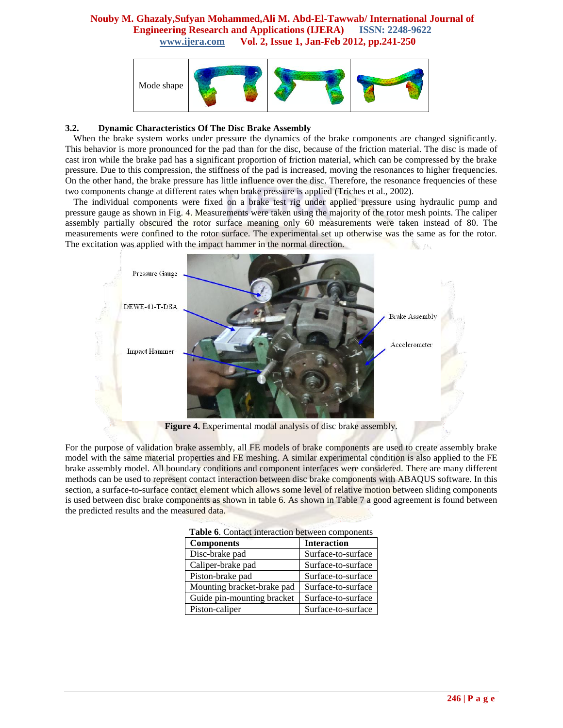

## **3.2. Dynamic Characteristics Of The Disc Brake Assembly**

When the brake system works under pressure the dynamics of the brake components are changed significantly. This behavior is more pronounced for the pad than for the disc, because of the friction material. The disc is made of cast iron while the brake pad has a significant proportion of friction material, which can be compressed by the brake pressure. Due to this compression, the stiffness of the pad is increased, moving the resonances to higher frequencies. On the other hand, the brake pressure has little influence over the disc. Therefore, the resonance frequencies of these two components change at different rates when brake pressure is applied (Triches et al., 2002).

The individual components were fixed on a brake test rig under applied pressure using hydraulic pump and pressure gauge as shown in Fig. 4. Measurements were taken using the majority of the rotor mesh points. The caliper assembly partially obscured the rotor surface meaning only 60 measurements were taken instead of 80. The measurements were confined to the rotor surface. The experimental set up otherwise was the same as for the rotor. The excitation was applied with the impact hammer in the normal direction.



**Figure 4.** Experimental modal analysis of disc brake assembly.

For the purpose of validation brake assembly, all FE models of brake components are used to create assembly brake model with the same material properties and FE meshing. A similar experimental condition is also applied to the FE brake assembly model. All boundary conditions and component interfaces were considered. There are many different methods can be used to represent contact interaction between disc brake components with ABAQUS software. In this section, a surface-to-surface contact element which allows some level of relative motion between sliding components is used between disc brake components as shown in table 6. As shown in Table 7 a good agreement is found between the predicted results and the measured data.

| <b>rable 0.</b> Contact interaction between components |                    |  |  |  |
|--------------------------------------------------------|--------------------|--|--|--|
| <b>Components</b>                                      | <b>Interaction</b> |  |  |  |
| Disc-brake pad                                         | Surface-to-surface |  |  |  |
| Caliper-brake pad                                      | Surface-to-surface |  |  |  |
| Piston-brake pad                                       | Surface-to-surface |  |  |  |
| Mounting bracket-brake pad                             | Surface-to-surface |  |  |  |
| Guide pin-mounting bracket                             | Surface-to-surface |  |  |  |
| Piston-caliper                                         | Surface-to-surface |  |  |  |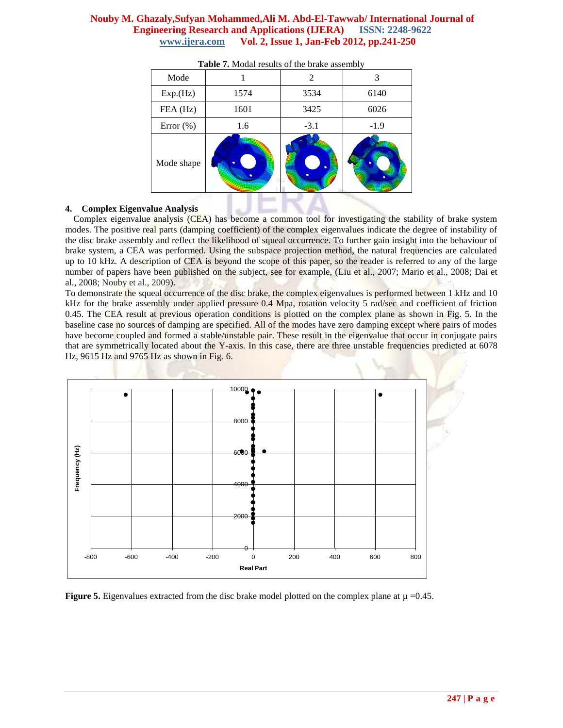| Mode         |      | 2      | 3      |  |
|--------------|------|--------|--------|--|
| Exp.(Hz)     | 1574 | 3534   | 6140   |  |
| FEA (Hz)     | 1601 | 3425   | 6026   |  |
| Error $(\%)$ | 1.6  | $-3.1$ | $-1.9$ |  |
| Mode shape   |      | ٠      |        |  |

|  |  |  | Table 7. Modal results of the brake assembly |  |
|--|--|--|----------------------------------------------|--|
|  |  |  |                                              |  |

## **4. Complex Eigenvalue Analysis**

Complex eigenvalue analysis (CEA) has become a common tool for investigating the stability of brake system modes. The positive real parts (damping coefficient) of the complex eigenvalues indicate the degree of instability of the disc brake assembly and reflect the likelihood of squeal occurrence. To further gain insight into the behaviour of brake system, a CEA was performed. Using the subspace projection method, the natural frequencies are calculated up to 10 kHz. A description of CEA is beyond the scope of this paper, so the reader is referred to any of the large number of papers have been published on the subject, see for example, (Liu et al., 2007; Mario et al., 2008; Dai et al., 2008; Nouby et al., 2009).

To demonstrate the squeal occurrence of the disc brake, the complex eigenvalues is performed between 1 kHz and 10 kHz for the brake assembly under applied pressure 0.4 Mpa, rotation velocity 5 rad/sec and coefficient of friction 0.45. The CEA result at previous operation conditions is plotted on the complex plane as shown in Fig. 5. In the baseline case no sources of damping are specified. All of the modes have zero damping except where pairs of modes have become coupled and formed a stable/unstable pair. These result in the eigenvalue that occur in conjugate pairs that are symmetrically located about the Y-axis. In this case, there are three unstable frequencies predicted at 6078 Hz, 9615 Hz and 9765 Hz as shown in Fig. 6.



**Figure 5.** Eigenvalues extracted from the disc brake model plotted on the complex plane at  $\mu = 0.45$ .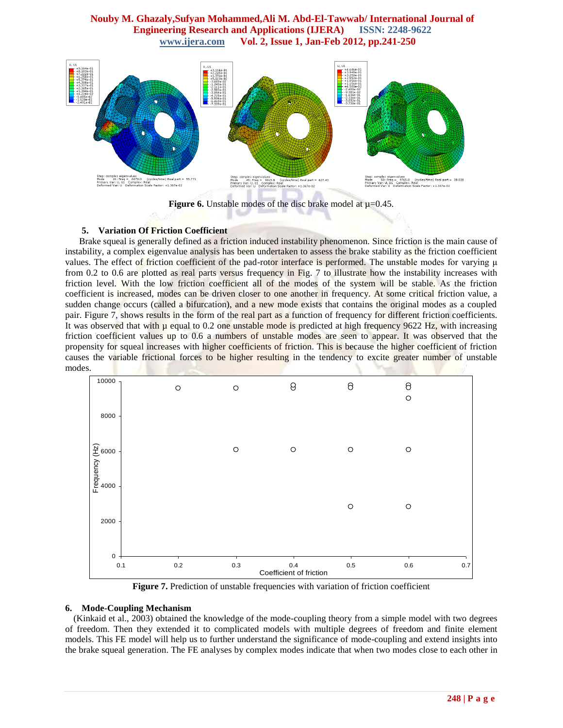

**Figure 6.** Unstable modes of the disc brake model at  $\mu$ =0.45.

## **5. Variation Of Friction Coefficient**

 Brake squeal is generally defined as a friction induced instability phenomenon. Since friction is the main cause of instability, a complex eigenvalue analysis has been undertaken to assess the brake stability as the friction coefficient values. The effect of friction coefficient of the pad-rotor interface is performed. The unstable modes for varying μ from 0.2 to 0.6 are plotted as real parts versus frequency in Fig. 7 to illustrate how the instability increases with friction level. With the low friction coefficient all of the modes of the system will be stable. As the friction coefficient is increased, modes can be driven closer to one another in frequency. At some critical friction value, a sudden change occurs (called a bifurcation), and a new mode exists that contains the original modes as a coupled pair. Figure 7, shows results in the form of the real part as a function of frequency for different friction coefficients. It was observed that with  $\mu$  equal to 0.2 one unstable mode is predicted at high frequency 9622 Hz, with increasing friction coefficient values up to 0.6 a numbers of unstable modes are seen to appear. It was observed that the propensity for squeal increases with higher coefficients of friction. This is because the higher coefficient of friction causes the variable frictional forces to be higher resulting in the tendency to excite greater number of unstable modes.



**Figure 7.** Prediction of unstable frequencies with variation of friction coefficient

### **6. Mode-Coupling Mechanism**

(Kinkaid et al., 2003) obtained the knowledge of the mode-coupling theory from a simple model with two degrees of freedom. Then they extended it to complicated models with multiple degrees of freedom and finite element models. This FE model will help us to further understand the significance of mode-coupling and extend insights into the brake squeal generation. The FE analyses by complex modes indicate that when two modes close to each other in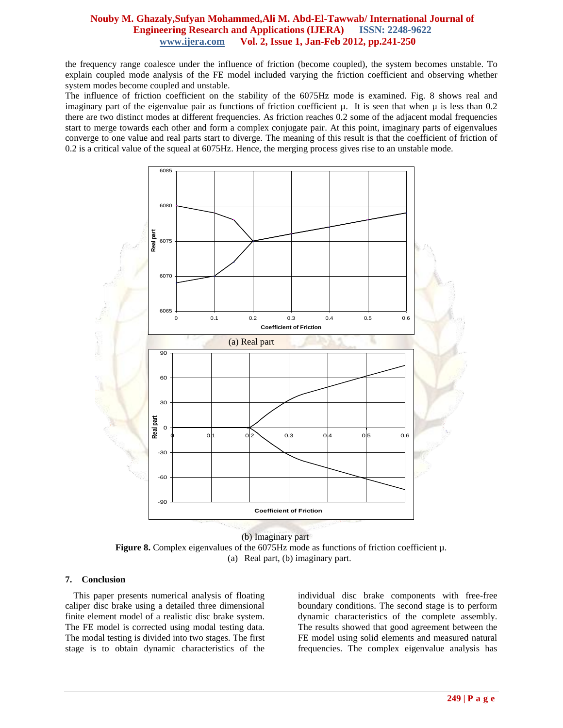the frequency range coalesce under the influence of friction (become coupled), the system becomes unstable. To explain coupled mode analysis of the FE model included varying the friction coefficient and observing whether system modes become coupled and unstable.

The influence of friction coefficient on the stability of the 6075Hz mode is examined. Fig. 8 shows real and imaginary part of the eigenvalue pair as functions of friction coefficient  $\mu$ . It is seen that when  $\mu$  is less than 0.2 there are two distinct modes at different frequencies. As friction reaches 0.2 some of the adjacent modal frequencies start to merge towards each other and form a complex conjugate pair. At this point, imaginary parts of eigenvalues converge to one value and real parts start to diverge. The meaning of this result is that the coefficient of friction of 0.2 is a critical value of the squeal at 6075Hz. Hence, the merging process gives rise to an unstable mode.



 (b) Imaginary part **Figure 8.** Complex eigenvalues of the 6075Hz mode as functions of friction coefficient µ. (a) Real part, (b) imaginary part.

### **7. Conclusion**

This paper presents numerical analysis of floating caliper disc brake using a detailed three dimensional finite element model of a realistic disc brake system. The FE model is corrected using modal testing data. The modal testing is divided into two stages. The first stage is to obtain dynamic characteristics of the individual disc brake components with free-free boundary conditions. The second stage is to perform dynamic characteristics of the complete assembly. The results showed that good agreement between the FE model using solid elements and measured natural frequencies. The complex eigenvalue analysis has